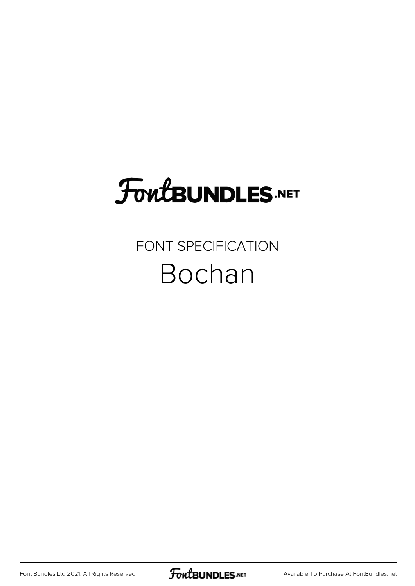### **FoutBUNDLES.NET**

#### FONT SPECIFICATION Bochan

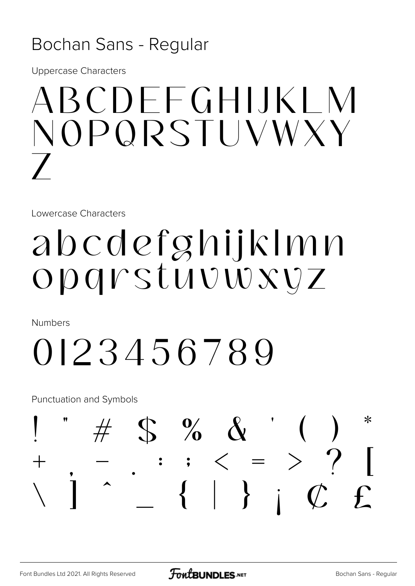#### Bochan Sans - Regular

**Uppercase Characters** 

## ABCDEEGHUKI M NOPQRSTUVWXY

Lowercase Characters

### abcdefghijklmn Opgrstuvwxvz

**Numbers** 

## 0123456789

**Punctuation and Symbols** 

#### $# S %$  $\ast$  $\therefore$  ; < = > ?<br> { | } ;  $\mathcal{C}$  $\int$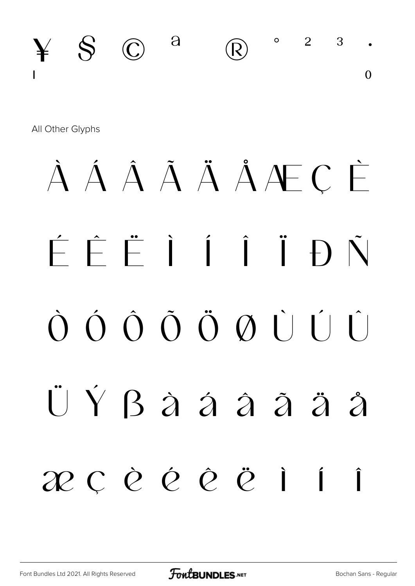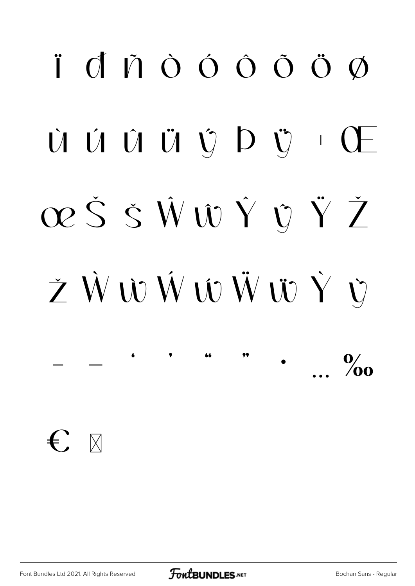## $\ddot{\mathsf{I}}$  dn  $\dot{\mathsf{O}}$  do  $\ddot{\mathsf{O}}$  do  $\ddot{\mathsf{O}}$ Ù Ú Û Ü Ý Þ Ÿ · Œ œŠŠŴŴŶŶŸŽ ŽŴŴŴŴŴŴŶ  $\frac{0}{2}$

 $\bigoplus$   $\mathbb{R}$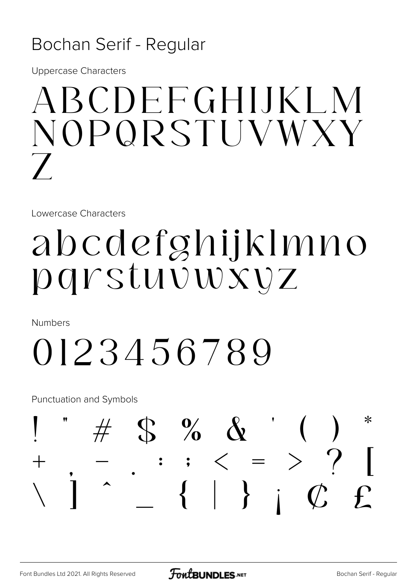#### Bochan Serif - Regular

**Uppercase Characters** 

## ABCDEFGHIJKI M NOPORSTUVWXY

Lowercase Characters

### abcdefghijklmno parstuvwxyz

**Numbers** 

## 0123456789

**Punctuation and Symbols** 

#### $\#$  \$ % & '  $\ast$  $\therefore$  ;  $\langle = \rangle ?$ <br> $\{ | \}$  ;  $\emptyset$  $\int$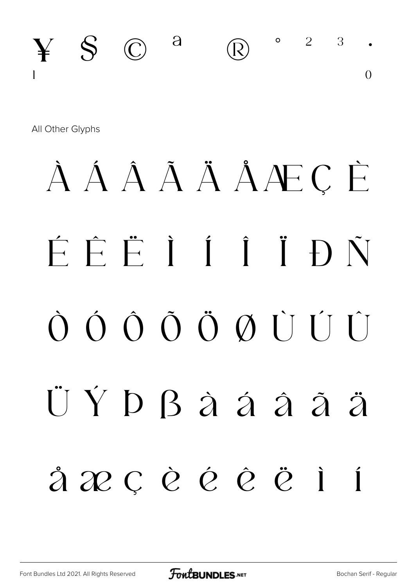

All Other Glyphs

## À Á Â Ä Ä Å Æ C È ÉÊËIÍÎÐÑ ÜÝ D B à á â ã ä å æcèéê ë  $\overrightarrow{I}$  $\blacksquare$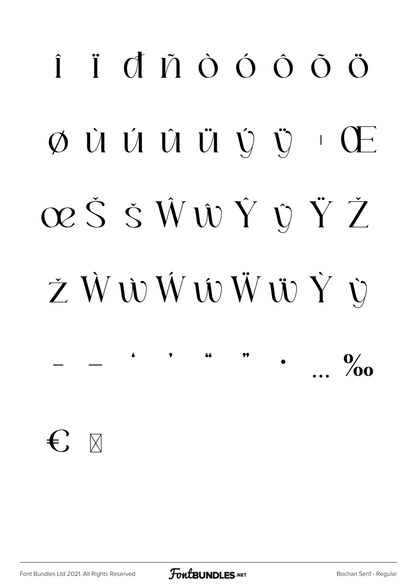## $\hat{I}$   $\hat{I}$   $\hat{O}$   $\hat{O}$   $\hat{O}$   $\hat{O}$   $\hat{O}$  $\emptyset$  ù ú û ü v v ch œŠŠŴŴŶŶŽ ŽŴŴŴŴŴŸÙ  $\frac{0}{2}$

 $\leftarrow$   $\mathbb{R}$ 

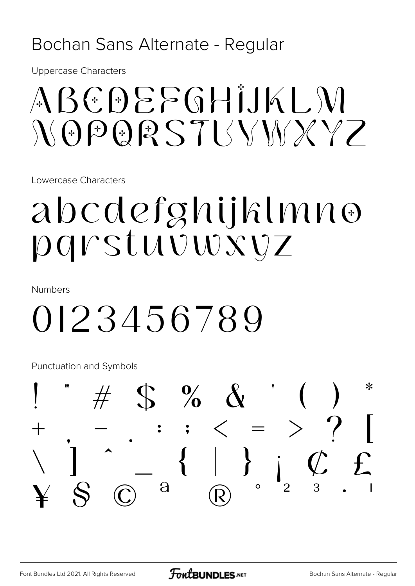#### Bochan Sans Alternate - Regular

**Uppercase Characters** 

### $ABCDEFGHIJKIM$  $N\Theta P Q R S T I N N X Y$

Lowercase Characters

### abcdefghijklmno parstuvwxvz

**Numbers** 

### 0123456789

Punctuation and Symbols

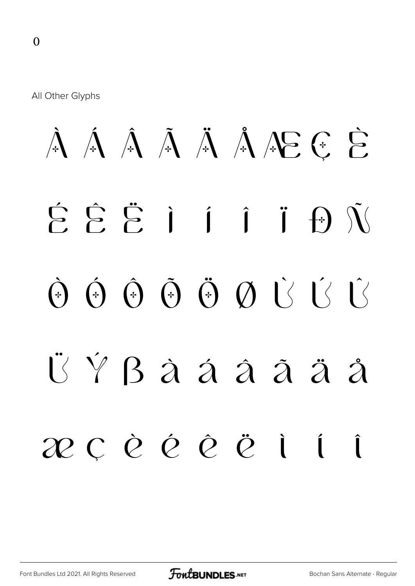All Other Glyphs

## $\hat{A}$   $\hat{A}$   $\hat{A}$   $\hat{A}$   $\hat{A}$   $\hat{A}$   $\hat{A}$   $\hat{B}$   $\hat{C}$ É Ê Ë Ì Í Î Ï Ð Ñ  $\hat{\Theta}$   $\hat{\Theta}$   $\hat{\Theta}$   $\hat{\Theta}$   $\hat{\Theta}$   $\hat{\Theta}$   $\hat{\Theta}$   $\hat{\Theta}$   $\hat{\Theta}$   $\hat{\Theta}$ Ü Ý ß à á â ã ä å æ ç è é ê ë ì í î

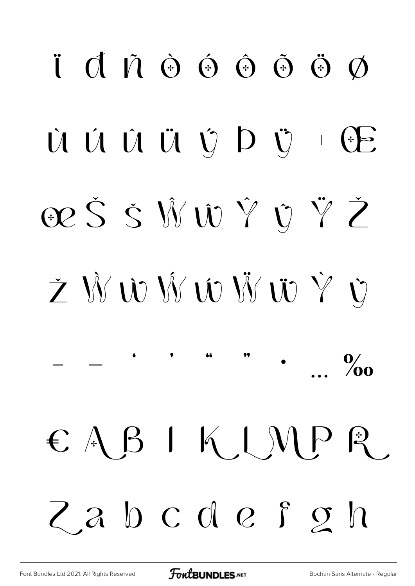# $\ddot{\mathbf{i}}$  d  $\ddot{\mathbf{0}}$   $\dot{\mathbf{0}}$   $\dot{\mathbf{0}}$   $\ddot{\mathbf{0}}$   $\ddot{\mathbf{0}}$   $\ddot{\mathbf{0}}$   $\ddot{\mathbf{0}}$ Ù Ú Û Ü Ü V D Ÿ E œŠŠŴŴŶŶŽ Ž ŴŴŴŴŴŴŶ  $\frac{0}{200}$  $\epsilon$  ABIKIMPR. Zabcdefon

**FoutBUNDLES.NET**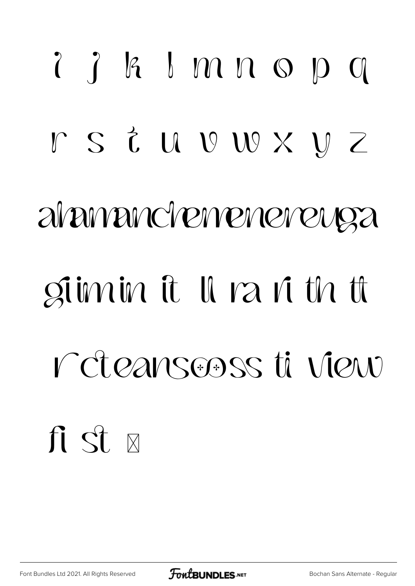# $2$   $8$   $1$   $m$   $n$   $s$   $p$   $q$ rs i u v w x y z alamanchemeneneuga giimin it Il ra ri th ti r cteansooss ti view fi st x

Font Bundles Ltd 2021. All Rights Reserved

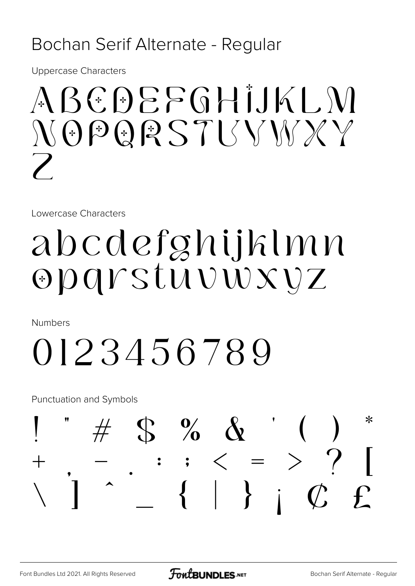#### Bochan Serif Alternate - Regular

**Uppercase Characters** 

## $ABGDEFGHIJKIM$  $N \Theta$  PQRSTISYMXY

Lowercase Characters

### abcdefghijklmn Opgrstuvwxvz

**Numbers** 

## 0123456789

**Punctuation and Symbols** 

#### $\#$  S % & ⋇  $\bullet$  $\int$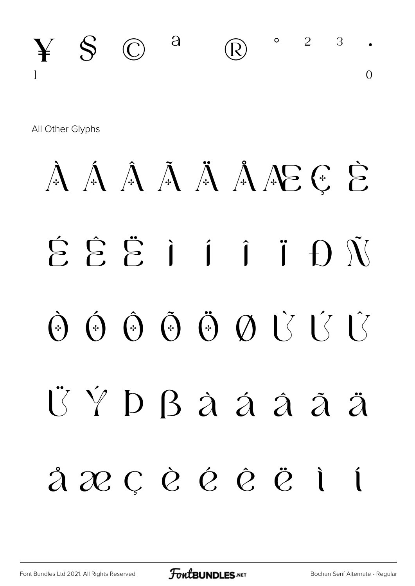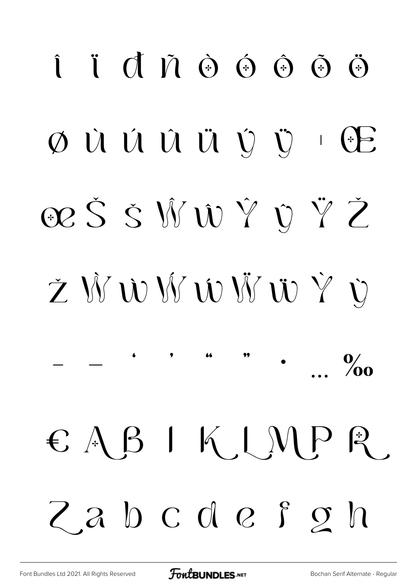# $\hat{I}$   $\hat{I}$   $\hat{O}$   $\hat{O}$   $\hat{O}$   $\hat{O}$   $\hat{O}$   $\hat{O}$  $\emptyset$  ù ú û ü v v · E œŠŠŴŴŶŶŽ Ž Ŵ Ŵ Ŵ Ŵ Ŵ Ÿ Ù  $\frac{0}{200}$ € A B I K I M P R Zabcdefon

**FoutBUNDLES.NET**